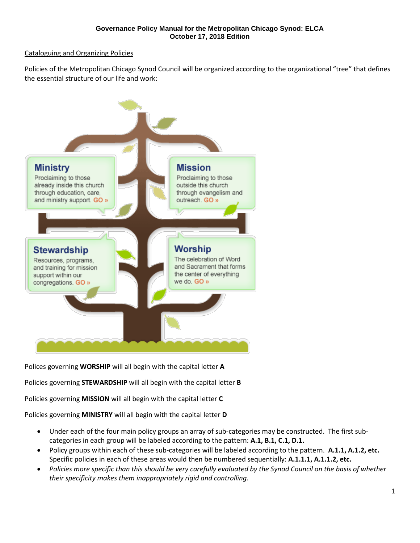# Cataloguing and Organizing Policies

Policies of the Metropolitan Chicago Synod Council will be organized according to the organizational "tree" that defines the essential structure of our life and work:



Polices governing **WORSHIP** will all begin with the capital letter **A**

Policies governing **STEWARDSHIP** will all begin with the capital letter **B**

Policies governing **MISSION** will all begin with the capital letter **C**

Policies governing **MINISTRY** will all begin with the capital letter **D**

- Under each of the four main policy groups an array of sub-categories may be constructed. The first subcategories in each group will be labeled according to the pattern: **A.1, B.1, C.1, D.1.**
- Policy groups within each of these sub-categories will be labeled according to the pattern. **A.1.1, A.1.2, etc.**  Specific policies in each of these areas would then be numbered sequentially: **A.1.1.1, A.1.1.2, etc.**
- *Policies more specific than this should be very carefully evaluated by the Synod Council on the basis of whether their specificity makes them inappropriately rigid and controlling.*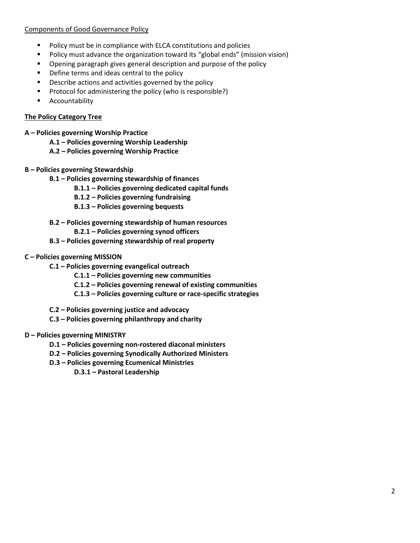# Components of Good Governance Policy

- Policy must be in compliance with ELCA constitutions and policies
- Policy must advance the organization toward its "global ends" (mission vision)
- Opening paragraph gives general description and purpose of the policy
- Define terms and ideas central to the policy
- Describe actions and activities governed by the policy
- Protocol for administering the policy (who is responsible?)
- Accountability

# **The Policy Category Tree**

- **A – Policies governing Worship Practice**
	- **A.1 – Policies governing Worship Leadership**
	- **A.2 – Policies governing Worship Practice**
- **B – Policies governing Stewardship**
	- **B.1 – Policies governing stewardship of finances**
		- **B.1.1 – Policies governing dedicated capital funds**
		- **B.1.2 – Policies governing fundraising**
		- **B.1.3 – Policies governing bequests**
	- **B.2 – Policies governing stewardship of human resources**
		- **B.2.1 – Policies governing synod officers**
	- **B.3 – Policies governing stewardship of real property**
- **C – Policies governing MISSION**
	- **C.1 – Policies governing evangelical outreach**
		- **C.1.1 – Policies governing new communities**
		- **C.1.2 – Policies governing renewal of existing communities**
		- **C.1.3 – Policies governing culture or race-specific strategies**
	- **C.2 – Policies governing justice and advocacy**
	- **C.3 – Policies governing philanthropy and charity**

# **D – Policies governing MINISTRY**

- **D.1 – Policies governing non-rostered diaconal ministers**
- **D.2 – Policies governing Synodically Authorized Ministers**
- **D.3 – Policies governing Ecumenical Ministries**

**D.3.1 – Pastoral Leadership**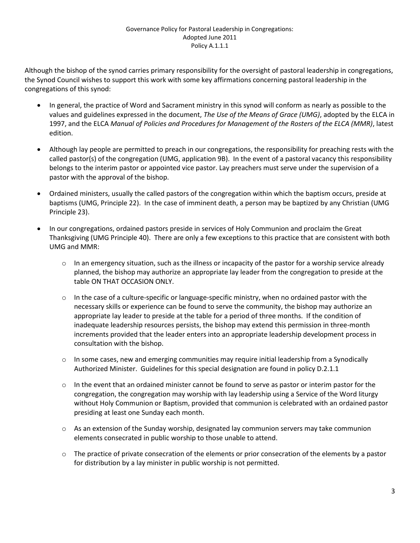# Governance Policy for Pastoral Leadership in Congregations: Adopted June 2011 Policy A.1.1.1

Although the bishop of the synod carries primary responsibility for the oversight of pastoral leadership in congregations, the Synod Council wishes to support this work with some key affirmations concerning pastoral leadership in the congregations of this synod:

- In general, the practice of Word and Sacrament ministry in this synod will conform as nearly as possible to the values and guidelines expressed in the document, *The Use of the Means of Grace (UMG)*, adopted by the ELCA in 1997, and the ELCA *Manual of Policies and Procedures for Management of the Rosters of the ELCA (MMR)*, latest edition.
- Although lay people are permitted to preach in our congregations, the responsibility for preaching rests with the called pastor(s) of the congregation (UMG, application 9B). In the event of a pastoral vacancy this responsibility belongs to the interim pastor or appointed vice pastor. Lay preachers must serve under the supervision of a pastor with the approval of the bishop.
- Ordained ministers, usually the called pastors of the congregation within which the baptism occurs, preside at baptisms (UMG, Principle 22). In the case of imminent death, a person may be baptized by any Christian (UMG Principle 23).
- In our congregations, ordained pastors preside in services of Holy Communion and proclaim the Great Thanksgiving (UMG Principle 40). There are only a few exceptions to this practice that are consistent with both UMG and MMR:
	- $\circ$  In an emergency situation, such as the illness or incapacity of the pastor for a worship service already planned, the bishop may authorize an appropriate lay leader from the congregation to preside at the table ON THAT OCCASION ONLY.
	- $\circ$  In the case of a culture-specific or language-specific ministry, when no ordained pastor with the necessary skills or experience can be found to serve the community, the bishop may authorize an appropriate lay leader to preside at the table for a period of three months. If the condition of inadequate leadership resources persists, the bishop may extend this permission in three-month increments provided that the leader enters into an appropriate leadership development process in consultation with the bishop.
	- $\circ$  In some cases, new and emerging communities may require initial leadership from a Synodically Authorized Minister. Guidelines for this special designation are found in policy D.2.1.1
	- $\circ$  In the event that an ordained minister cannot be found to serve as pastor or interim pastor for the congregation, the congregation may worship with lay leadership using a Service of the Word liturgy without Holy Communion or Baptism, provided that communion is celebrated with an ordained pastor presiding at least one Sunday each month.
	- $\circ$  As an extension of the Sunday worship, designated lay communion servers may take communion elements consecrated in public worship to those unable to attend.
	- $\circ$  The practice of private consecration of the elements or prior consecration of the elements by a pastor for distribution by a lay minister in public worship is not permitted.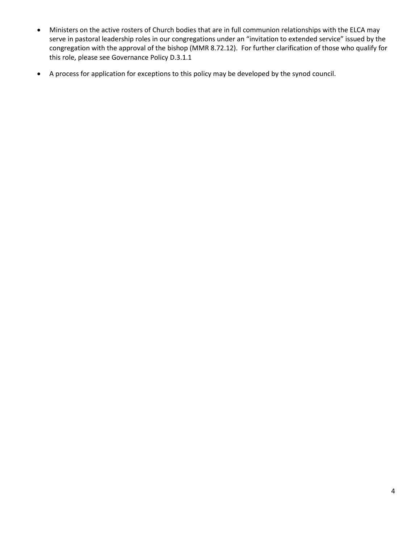- Ministers on the active rosters of Church bodies that are in full communion relationships with the ELCA may serve in pastoral leadership roles in our congregations under an "invitation to extended service" issued by the congregation with the approval of the bishop (MMR 8.72.12). For further clarification of those who qualify for this role, please see Governance Policy D.3.1.1
- A process for application for exceptions to this policy may be developed by the synod council.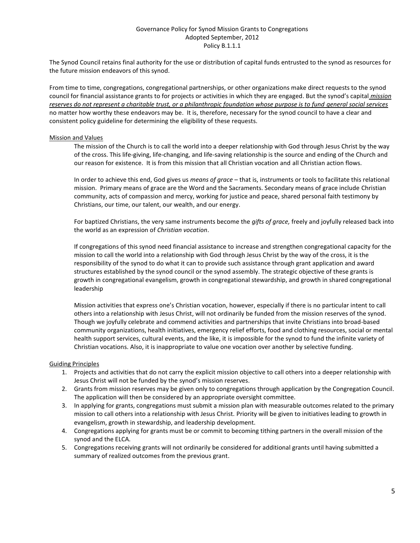## Governance Policy for Synod Mission Grants to Congregations Adopted September, 2012 Policy B.1.1.1

The Synod Council retains final authority for the use or distribution of capital funds entrusted to the synod as resources for the future mission endeavors of this synod.

From time to time, congregations, congregational partnerships, or other organizations make direct requests to the synod council for financial assistance grants to for projects or activities in which they are engaged. But the synod's capital *mission reserves do not represent a charitable trust, or a philanthropic foundation whose purpose is to fund general social services* no matter how worthy these endeavors may be. It is, therefore, necessary for the synod council to have a clear and consistent policy guideline for determining the eligibility of these requests.

#### Mission and Values

The mission of the Church is to call the world into a deeper relationship with God through Jesus Christ by the way of the cross. This life-giving, life-changing, and life-saving relationship is the source and ending of the Church and our reason for existence. It is from this mission that all Christian vocation and all Christian action flows.

In order to achieve this end, God gives us *means of grace* – that is, instruments or tools to facilitate this relational mission. Primary means of grace are the Word and the Sacraments. Secondary means of grace include Christian community, acts of compassion and mercy, working for justice and peace, shared personal faith testimony by Christians, our time, our talent, our wealth, and our energy.

For baptized Christians, the very same instruments become the *gifts of grace,* freely and joyfully released back into the world as an expression of *Christian vocation*.

If congregations of this synod need financial assistance to increase and strengthen congregational capacity for the mission to call the world into a relationship with God through Jesus Christ by the way of the cross, it is the responsibility of the synod to do what it can to provide such assistance through grant application and award structures established by the synod council or the synod assembly. The strategic objective of these grants is growth in congregational evangelism, growth in congregational stewardship, and growth in shared congregational leadership

Mission activities that express one's Christian vocation, however, especially if there is no particular intent to call others into a relationship with Jesus Christ, will not ordinarily be funded from the mission reserves of the synod. Though we joyfully celebrate and commend activities and partnerships that invite Christians into broad-based community organizations, health initiatives, emergency relief efforts, food and clothing resources, social or mental health support services, cultural events, and the like, it is impossible for the synod to fund the infinite variety of Christian vocations. Also, it is inappropriate to value one vocation over another by selective funding.

## Guiding Principles

- 1. Projects and activities that do not carry the explicit mission objective to call others into a deeper relationship with Jesus Christ will not be funded by the synod's mission reserves.
- 2. Grants from mission reserves may be given only to congregations through application by the Congregation Council. The application will then be considered by an appropriate oversight committee.
- 3. In applying for grants, congregations must submit a mission plan with measurable outcomes related to the primary mission to call others into a relationship with Jesus Christ. Priority will be given to initiatives leading to growth in evangelism, growth in stewardship, and leadership development.
- 4. Congregations applying for grants must be or commit to becoming tithing partners in the overall mission of the synod and the ELCA.
- 5. Congregations receiving grants will not ordinarily be considered for additional grants until having submitted a summary of realized outcomes from the previous grant.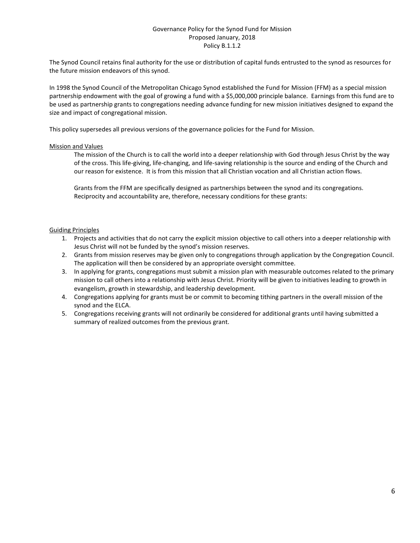## Governance Policy for the Synod Fund for Mission Proposed January, 2018 Policy B.1.1.2

The Synod Council retains final authority for the use or distribution of capital funds entrusted to the synod as resources for the future mission endeavors of this synod.

In 1998 the Synod Council of the Metropolitan Chicago Synod established the Fund for Mission (FFM) as a special mission partnership endowment with the goal of growing a fund with a \$5,000,000 principle balance. Earnings from this fund are to be used as partnership grants to congregations needing advance funding for new mission initiatives designed to expand the size and impact of congregational mission.

This policy supersedes all previous versions of the governance policies for the Fund for Mission.

#### Mission and Values

The mission of the Church is to call the world into a deeper relationship with God through Jesus Christ by the way of the cross. This life-giving, life-changing, and life-saving relationship is the source and ending of the Church and our reason for existence. It is from this mission that all Christian vocation and all Christian action flows.

Grants from the FFM are specifically designed as partnerships between the synod and its congregations. Reciprocity and accountability are, therefore, necessary conditions for these grants:

#### Guiding Principles

- 1. Projects and activities that do not carry the explicit mission objective to call others into a deeper relationship with Jesus Christ will not be funded by the synod's mission reserves.
- 2. Grants from mission reserves may be given only to congregations through application by the Congregation Council. The application will then be considered by an appropriate oversight committee.
- 3. In applying for grants, congregations must submit a mission plan with measurable outcomes related to the primary mission to call others into a relationship with Jesus Christ. Priority will be given to initiatives leading to growth in evangelism, growth in stewardship, and leadership development.
- 4. Congregations applying for grants must be or commit to becoming tithing partners in the overall mission of the synod and the ELCA.
- 5. Congregations receiving grants will not ordinarily be considered for additional grants until having submitted a summary of realized outcomes from the previous grant.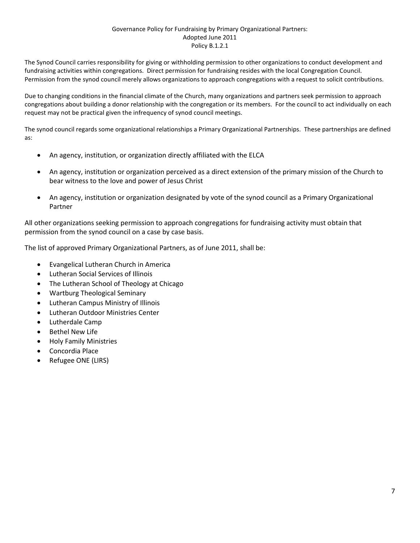## Governance Policy for Fundraising by Primary Organizational Partners: Adopted June 2011 Policy B.1.2.1

The Synod Council carries responsibility for giving or withholding permission to other organizations to conduct development and fundraising activities within congregations. Direct permission for fundraising resides with the local Congregation Council. Permission from the synod council merely allows organizations to approach congregations with a request to solicit contributions.

Due to changing conditions in the financial climate of the Church, many organizations and partners seek permission to approach congregations about building a donor relationship with the congregation or its members. For the council to act individually on each request may not be practical given the infrequency of synod council meetings.

The synod council regards some organizational relationships a Primary Organizational Partnerships. These partnerships are defined as:

- An agency, institution, or organization directly affiliated with the ELCA
- An agency, institution or organization perceived as a direct extension of the primary mission of the Church to bear witness to the love and power of Jesus Christ
- An agency, institution or organization designated by vote of the synod council as a Primary Organizational Partner

All other organizations seeking permission to approach congregations for fundraising activity must obtain that permission from the synod council on a case by case basis.

The list of approved Primary Organizational Partners, as of June 2011, shall be:

- Evangelical Lutheran Church in America
- Lutheran Social Services of Illinois
- The Lutheran School of Theology at Chicago
- Wartburg Theological Seminary
- Lutheran Campus Ministry of Illinois
- Lutheran Outdoor Ministries Center
- Lutherdale Camp
- **Bethel New Life**
- Holy Family Ministries
- Concordia Place
- Refugee ONE (LIRS)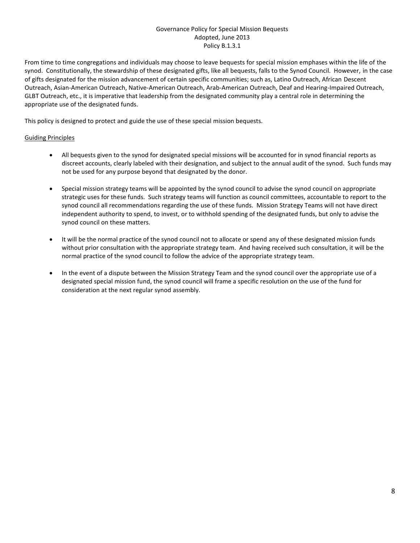## Governance Policy for Special Mission Bequests Adopted, June 2013 Policy B.1.3.1

From time to time congregations and individuals may choose to leave bequests for special mission emphases within the life of the synod. Constitutionally, the stewardship of these designated gifts, like all bequests, falls to the Synod Council. However, in the case of gifts designated for the mission advancement of certain specific communities; such as, Latino Outreach, African Descent Outreach, Asian-American Outreach, Native-American Outreach, Arab-American Outreach, Deaf and Hearing-Impaired Outreach, GLBT Outreach, etc., it is imperative that leadership from the designated community play a central role in determining the appropriate use of the designated funds.

This policy is designed to protect and guide the use of these special mission bequests.

## Guiding Principles

- All bequests given to the synod for designated special missions will be accounted for in synod financial reports as discreet accounts, clearly labeled with their designation, and subject to the annual audit of the synod. Such funds may not be used for any purpose beyond that designated by the donor.
- Special mission strategy teams will be appointed by the synod council to advise the synod council on appropriate strategic uses for these funds. Such strategy teams will function as council committees, accountable to report to the synod council all recommendations regarding the use of these funds. Mission Strategy Teams will not have direct independent authority to spend, to invest, or to withhold spending of the designated funds, but only to advise the synod council on these matters.
- It will be the normal practice of the synod council not to allocate or spend any of these designated mission funds without prior consultation with the appropriate strategy team. And having received such consultation, it will be the normal practice of the synod council to follow the advice of the appropriate strategy team.
- In the event of a dispute between the Mission Strategy Team and the synod council over the appropriate use of a designated special mission fund, the synod council will frame a specific resolution on the use of the fund for consideration at the next regular synod assembly.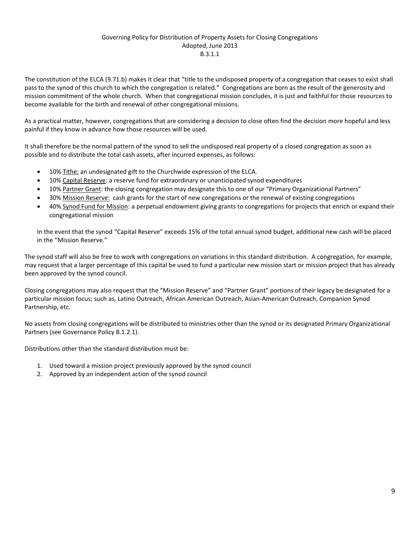## Governing Policy for Distribution of Property Assets for Closing Congregations Adopted, June 2013 B.3.1.1

The constitution of the ELCA (9.71.b) makes it clear that "title to the undisposed property of a congregation that ceases to exist shall pass to the synod of this church to which the congregation is related." Congregations are born as the result of the generosity and mission commitment of the whole church. When that congregational mission concludes, it is just and faithful for those resources to become available for the birth and renewal of other congregational missions.

As a practical matter, however, congregations that are considering a decision to close often find the decision more hopeful and less painful if they know in advance how those resources will be used.

It shall therefore be the normal pattern of the synod to sell the undisposed real property of a closed congregation as soon as possible and to distribute the total cash assets, after incurred expenses, as follows:

- 10% Tithe: an undesignated gift to the Churchwide expression of the ELCA.
- 10% Capital Reserve: a reserve fund for extraordinary or unanticipated synod expenditures
- 10% Partner Grant: the closing congregation may designate this to one of our "Primary Organizational Partners"
- 30% Mission Reserve: cash grants for the start of new congregations or the renewal of existing congregations
- 40% Synod Fund for Mission: a perpetual endowment giving grants to congregations for projects that enrich or expand their congregational mission

In the event that the synod "Capital Reserve" exceeds 15% of the total annual synod budget, additional new cash will be placed in the "Mission Reserve."

The synod staff will also be free to work with congregations on variations in this standard distribution. A congregation, for example, may request that a larger percentage of this capital be used to fund a particular new mission start or mission project that has already been approved by the synod council.

Closing congregations may also request that the "Mission Reserve" and "Partner Grant" portions of their legacy be designated for a particular mission focus; such as, Latino Outreach, African American Outreach, Asian-American Outreach, Companion Synod Partnership, etc.

No assets from closing congregations will be distributed to ministries other than the synod or its designated Primary Organizational Partners (see Governance Policy B.1.2.1).

Distributions other than the standard distribution must be:

- 1. Used toward a mission project previously approved by the synod council
- 2. Approved by an independent action of the synod council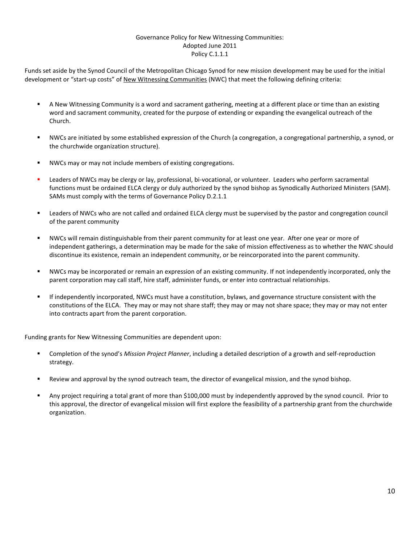# Governance Policy for New Witnessing Communities: Adopted June 2011 Policy C.1.1.1

Funds set aside by the Synod Council of the Metropolitan Chicago Synod for new mission development may be used for the initial development or "start-up costs" of New Witnessing Communities (NWC) that meet the following defining criteria:

- A New Witnessing Community is a word and sacrament gathering, meeting at a different place or time than an existing word and sacrament community, created for the purpose of extending or expanding the evangelical outreach of the Church.
- NWCs are initiated by some established expression of the Church (a congregation, a congregational partnership, a synod, or the churchwide organization structure).
- NWCs may or may not include members of existing congregations.
- Leaders of NWCs may be clergy or lay, professional, bi-vocational, or volunteer. Leaders who perform sacramental functions must be ordained ELCA clergy or duly authorized by the synod bishop as Synodically Authorized Ministers (SAM). SAMs must comply with the terms of Governance Policy D.2.1.1
- Leaders of NWCs who are not called and ordained ELCA clergy must be supervised by the pastor and congregation council of the parent community
- NWCs will remain distinguishable from their parent community for at least one year. After one year or more of independent gatherings, a determination may be made for the sake of mission effectiveness as to whether the NWC should discontinue its existence, remain an independent community, or be reincorporated into the parent community.
- NWCs may be incorporated or remain an expression of an existing community. If not independently incorporated, only the parent corporation may call staff, hire staff, administer funds, or enter into contractual relationships.
- If independently incorporated, NWCs must have a constitution, bylaws, and governance structure consistent with the constitutions of the ELCA. They may or may not share staff; they may or may not share space; they may or may not enter into contracts apart from the parent corporation.

Funding grants for New Witnessing Communities are dependent upon:

- Completion of the synod's *Mission Project Planner*, including a detailed description of a growth and self-reproduction strategy.
- Review and approval by the synod outreach team, the director of evangelical mission, and the synod bishop.
- Any project requiring a total grant of more than \$100,000 must by independently approved by the synod council. Prior to this approval, the director of evangelical mission will first explore the feasibility of a partnership grant from the churchwide organization.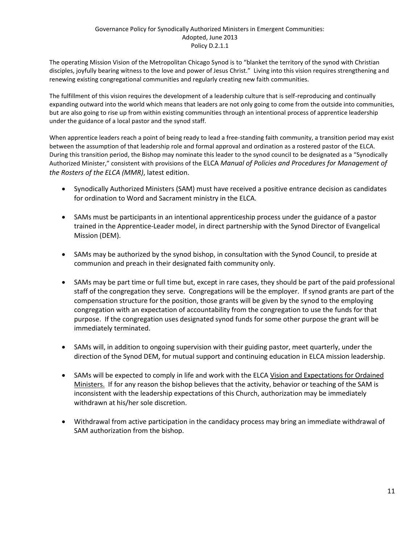The operating Mission Vision of the Metropolitan Chicago Synod is to "blanket the territory of the synod with Christian disciples, joyfully bearing witness to the love and power of Jesus Christ." Living into this vision requires strengthening and renewing existing congregational communities and regularly creating new faith communities.

The fulfillment of this vision requires the development of a leadership culture that is self-reproducing and continually expanding outward into the world which means that leaders are not only going to come from the outside into communities, but are also going to rise up from within existing communities through an intentional process of apprentice leadership under the guidance of a local pastor and the synod staff.

When apprentice leaders reach a point of being ready to lead a free-standing faith community, a transition period may exist between the assumption of that leadership role and formal approval and ordination as a rostered pastor of the ELCA. During this transition period, the Bishop may nominate this leader to the synod council to be designated as a "Synodically Authorized Minister," consistent with provisions of the ELCA *Manual of Policies and Procedures for Management of the Rosters of the ELCA (MMR)*, latest edition.

- Synodically Authorized Ministers (SAM) must have received a positive entrance decision as candidates for ordination to Word and Sacrament ministry in the ELCA.
- SAMs must be participants in an intentional apprenticeship process under the guidance of a pastor trained in the Apprentice-Leader model, in direct partnership with the Synod Director of Evangelical Mission (DEM).
- SAMs may be authorized by the synod bishop, in consultation with the Synod Council, to preside at communion and preach in their designated faith community only.
- SAMs may be part time or full time but, except in rare cases, they should be part of the paid professional staff of the congregation they serve. Congregations will be the employer. If synod grants are part of the compensation structure for the position, those grants will be given by the synod to the employing congregation with an expectation of accountability from the congregation to use the funds for that purpose. If the congregation uses designated synod funds for some other purpose the grant will be immediately terminated.
- SAMs will, in addition to ongoing supervision with their guiding pastor, meet quarterly, under the direction of the Synod DEM, for mutual support and continuing education in ELCA mission leadership.
- SAMs will be expected to comply in life and work with the ELCA Vision and Expectations for Ordained Ministers. If for any reason the bishop believes that the activity, behavior or teaching of the SAM is inconsistent with the leadership expectations of this Church, authorization may be immediately withdrawn at his/her sole discretion.
- Withdrawal from active participation in the candidacy process may bring an immediate withdrawal of SAM authorization from the bishop.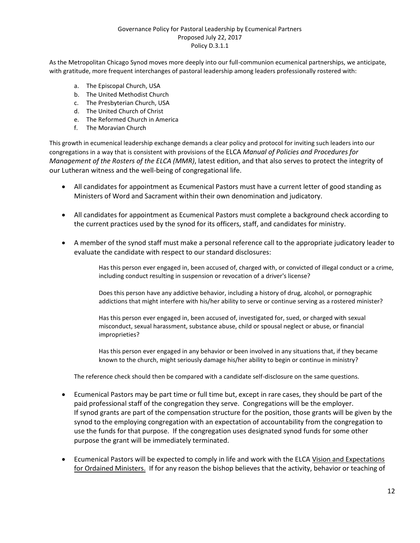# Governance Policy for Pastoral Leadership by Ecumenical Partners Proposed July 22, 2017 Policy D.3.1.1

As the Metropolitan Chicago Synod moves more deeply into our full-communion ecumenical partnerships, we anticipate, with gratitude, more frequent interchanges of pastoral leadership among leaders professionally rostered with:

- a. The Episcopal Church, USA
- b. The United Methodist Church
- c. The Presbyterian Church, USA
- d. The United Church of Christ
- e. The Reformed Church in America
- f. The Moravian Church

This growth in ecumenical leadership exchange demands a clear policy and protocol for inviting such leaders into our congregations in a way that is consistent with provisions of the ELCA *Manual of Policies and Procedures for Management of the Rosters of the ELCA (MMR)*, latest edition, and that also serves to protect the integrity of our Lutheran witness and the well-being of congregational life.

- All candidates for appointment as Ecumenical Pastors must have a current letter of good standing as Ministers of Word and Sacrament within their own denomination and judicatory.
- All candidates for appointment as Ecumenical Pastors must complete a background check according to the current practices used by the synod for its officers, staff, and candidates for ministry.
- A member of the synod staff must make a personal reference call to the appropriate judicatory leader to evaluate the candidate with respect to our standard disclosures:

Has this person ever engaged in, been accused of, charged with, or convicted of illegal conduct or a crime, including conduct resulting in suspension or revocation of a driver's license?

Does this person have any addictive behavior, including a history of drug, alcohol, or pornographic addictions that might interfere with his/her ability to serve or continue serving as a rostered minister?

Has this person ever engaged in, been accused of, investigated for, sued, or charged with sexual misconduct, sexual harassment, substance abuse, child or spousal neglect or abuse, or financial improprieties?

Has this person ever engaged in any behavior or been involved in any situations that, if they became known to the church, might seriously damage his/her ability to begin or continue in ministry?

The reference check should then be compared with a candidate self-disclosure on the same questions.

- Ecumenical Pastors may be part time or full time but, except in rare cases, they should be part of the paid professional staff of the congregation they serve. Congregations will be the employer. If synod grants are part of the compensation structure for the position, those grants will be given by the synod to the employing congregation with an expectation of accountability from the congregation to use the funds for that purpose. If the congregation uses designated synod funds for some other purpose the grant will be immediately terminated.
- Ecumenical Pastors will be expected to comply in life and work with the ELCA Vision and Expectations for Ordained Ministers. If for any reason the bishop believes that the activity, behavior or teaching of